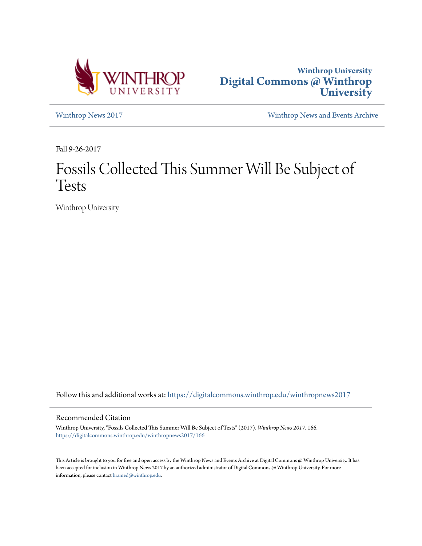



[Winthrop News 2017](https://digitalcommons.winthrop.edu/winthropnews2017?utm_source=digitalcommons.winthrop.edu%2Fwinthropnews2017%2F166&utm_medium=PDF&utm_campaign=PDFCoverPages) [Winthrop News and Events Archive](https://digitalcommons.winthrop.edu/winthropnewsarchives?utm_source=digitalcommons.winthrop.edu%2Fwinthropnews2017%2F166&utm_medium=PDF&utm_campaign=PDFCoverPages)

Fall 9-26-2017

# Fossils Collected This Summer Will Be Subject of Tests

Winthrop University

Follow this and additional works at: [https://digitalcommons.winthrop.edu/winthropnews2017](https://digitalcommons.winthrop.edu/winthropnews2017?utm_source=digitalcommons.winthrop.edu%2Fwinthropnews2017%2F166&utm_medium=PDF&utm_campaign=PDFCoverPages)

#### Recommended Citation

Winthrop University, "Fossils Collected This Summer Will Be Subject of Tests" (2017). *Winthrop News 2017*. 166. [https://digitalcommons.winthrop.edu/winthropnews2017/166](https://digitalcommons.winthrop.edu/winthropnews2017/166?utm_source=digitalcommons.winthrop.edu%2Fwinthropnews2017%2F166&utm_medium=PDF&utm_campaign=PDFCoverPages)

This Article is brought to you for free and open access by the Winthrop News and Events Archive at Digital Commons @ Winthrop University. It has been accepted for inclusion in Winthrop News 2017 by an authorized administrator of Digital Commons @ Winthrop University. For more information, please contact [bramed@winthrop.edu](mailto:bramed@winthrop.edu).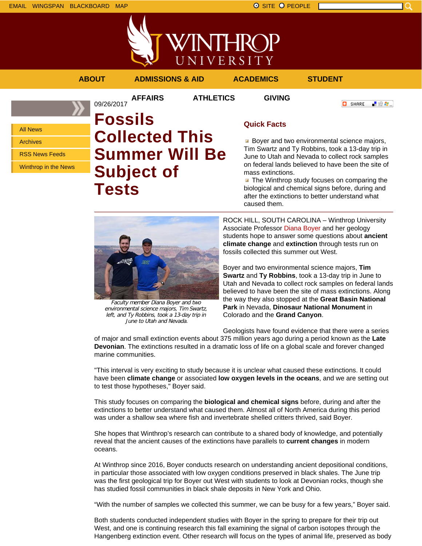

## **ABOUT ADMISSIONS & AID ACADEMICS STUDENT**

09/26/2017

**AFFAIRS ATHLETICS GIVING**

「验費」 **O** SHARE

All News

Archives

RSS News Feeds

Winthrop in the News

# **Fossils Collected This Summer Will Be Subject of Tests**



Faculty member Diana Boyer and two environmental science majors, Tim Swartz, left, and Ty Robbins, took a 13-day trip in June to Utah and Nevada.

# **Quick Facts**

**Boyer and two environmental science majors,** Tim Swartz and Ty Robbins, took a 13-day trip in June to Utah and Nevada to collect rock samples on federal lands believed to have been the site of mass extinctions.

**The Winthrop study focuses on comparing the** biological and chemical signs before, during and after the extinctions to better understand what caused them.

ROCK HILL, SOUTH CAROLINA – Winthrop University Associate Professor Diana Boyer and her geology students hope to answer some questions about **ancient climate change** and **extinction** through tests run on fossils collected this summer out West.

Boyer and two environmental science majors, **Tim Swartz** and **Ty Robbins**, took a 13-day trip in June to Utah and Nevada to collect rock samples on federal lands believed to have been the site of mass extinctions. Along the way they also stopped at the **Great Basin National Park** in Nevada, **Dinosaur National Monument** in Colorado and the **Grand Canyon**.

Geologists have found evidence that there were a series

of major and small extinction events about 375 million years ago during a period known as the **Late Devonian**. The extinctions resulted in a dramatic loss of life on a global scale and forever changed marine communities.

"This interval is very exciting to study because it is unclear what caused these extinctions. It could have been **climate change** or associated **low oxygen levels in the oceans**, and we are setting out to test those hypotheses," Boyer said.

This study focuses on comparing the **biological and chemical signs** before, during and after the extinctions to better understand what caused them. Almost all of North America during this period was under a shallow sea where fish and invertebrate shelled critters thrived, said Boyer.

She hopes that Winthrop's research can contribute to a shared body of knowledge, and potentially reveal that the ancient causes of the extinctions have parallels to **current changes** in modern oceans.

At Winthrop since 2016, Boyer conducts research on understanding ancient depositional conditions, in particular those associated with low oxygen conditions preserved in black shales. The June trip was the first geological trip for Boyer out West with students to look at Devonian rocks, though she has studied fossil communities in black shale deposits in New York and Ohio.

"With the number of samples we collected this summer, we can be busy for a few years," Boyer said.

Both students conducted independent studies with Boyer in the spring to prepare for their trip out West, and one is continuing research this fall examining the signal of carbon isotopes through the Hangenberg extinction event. Other research will focus on the types of animal life, preserved as body